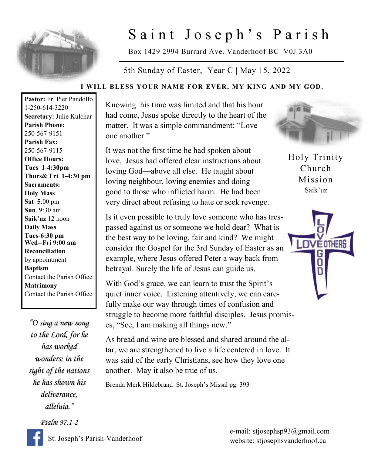

## Saint Joseph's Parish

Box 1429 2994 Burrard Ave. Vanderhoof BC V0J 3A0

5th Sunday of Easter, Year C | May 15, 2022

## **I WILL BLESS YOUR NAME FOR EVER, MY KING AND MY GOD.**

**Pastor:** Fr. Pier Pandolfo 1-250-614-3220 **Secretary:** Julie Kulchar **Parish Phone:** 250-567-9151 **Parish Fax:** 250-567-9115 **Office Hours: Tues 1-4:30pm Thurs& Fri 1-4:30 pm Sacraments: Holy Mass Sat 5**:00 pm **Sun**. 9:30 am **Saik'uz** 12 noon **Daily Mass Tues-6:30 pm Wed--Fri 9:00 am Reconciliation** by appointment **Baptism** Contact the Parish Office **Matrimony** Contact the Parish Office

*"O sing a new song to the Lord, for he has worked wonders; in the sight of the nations he has shown his deliverance, alleluia."* 

*Psalm 97.1-2* 

Knowing his time was limited and that his hour had come, Jesus spoke directly to the heart of the matter. It was a simple commandment: "Love one another."

It was not the first time he had spoken about love. Jesus had offered clear instructions about loving God—above all else. He taught about loving neighbour, loving enemies and doing good to those who inflicted harm. He had been very direct about refusing to hate or seek revenge.

Is it even possible to truly love someone who has trespassed against us or someone we hold dear? What is the best way to be loving, fair and kind? We might consider the Gospel for the 3rd Sunday of Easter as an example, where Jesus offered Peter a way back from betrayal. Surely the life of Jesus can guide us.

With God's grace, we can learn to trust the Spirit's quiet inner voice. Listening attentively, we can carefully make our way through times of confusion and struggle to become more faithful disciples. Jesus promises, "See, I am making all things new."

As bread and wine are blessed and shared around the altar, we are strengthened to live a life centered in love. It was said of the early Christians, see how they love one another. May it also be true of us.

Brenda Merk Hildebrand St. Joseph's Missal pg. 393



Holy Trinity Church Mission Saik'uz



e-mail: stjosephsp93@gmail.com website: stjosephsvanderhoof.ca

St. Joseph's Parish-Vanderhoof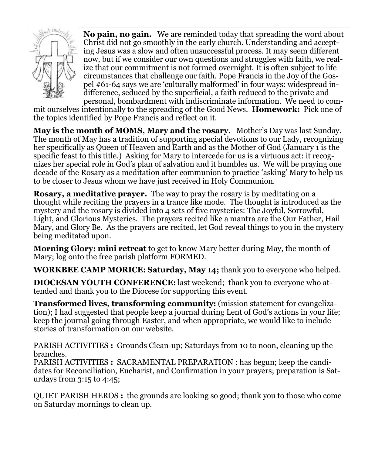

**No pain, no gain.** We are reminded today that spreading the word about Christ did not go smoothly in the early church. Understanding and accepting Jesus was a slow and often unsuccessful process. It may seem different now, but if we consider our own questions and struggles with faith, we realize that our commitment is not formed overnight. It is often subject to life circumstances that challenge our faith. Pope Francis in the Joy of the Gospel #61-64 says we are 'culturally malformed' in four ways: widespread indifference, seduced by the superficial, a faith reduced to the private and personal, bombardment with indiscriminate information. We need to com-

mit ourselves intentionally to the spreading of the Good News. **Homework:** Pick one of the topics identified by Pope Francis and reflect on it.

**May is the month of MOMS, Mary and the rosary.** Mother's Day was last Sunday. The month of May has a tradition of supporting special devotions to our Lady, recognizing her specifically as Queen of Heaven and Earth and as the Mother of God (January 1 is the specific feast to this title.) Asking for Mary to intercede for us is a virtuous act: it recognizes her special role in God's plan of salvation and it humbles us. We will be praying one decade of the Rosary as a meditation after communion to practice 'asking' Mary to help us to be closer to Jesus whom we have just received in Holy Communion.

**Rosary, a meditative prayer.** The way to pray the rosary is by meditating on a thought while reciting the prayers in a trance like mode. The thought is introduced as the mystery and the rosary is divided into 4 sets of five mysteries: The Joyful, Sorrowful, Light, and Glorious Mysteries. The prayers recited like a mantra are the Our Father, Hail Mary, and Glory Be. As the prayers are recited, let God reveal things to you in the mystery being meditated upon.

**Morning Glory: mini retreat** to get to know Mary better during May, the month of Mary; log onto the free parish platform FORMED.

**WORKBEE CAMP MORICE: Saturday, May 14;** thank you to everyone who helped.

**DIOCESAN YOUTH CONFERENCE:** last weekend; thank you to everyone who attended and thank you to the Diocese for supporting this event.

**Transformed lives, transforming community:** (mission statement for evangelization); I had suggested that people keep a journal during Lent of God's actions in your life; keep the journal going through Easter, and when appropriate, we would like to include stories of transformation on our website.

PARISH ACTIVITIES **:** Grounds Clean-up; Saturdays from 10 to noon, cleaning up the branches.

PARISH ACTIVITIES **:** SACRAMENTAL PREPARATION : has begun; keep the candidates for Reconciliation, Eucharist, and Confirmation in your prayers; preparation is Saturdays from 3:15 to 4:45;

QUIET PARISH HEROS **:** the grounds are looking so good; thank you to those who come on Saturday mornings to clean up.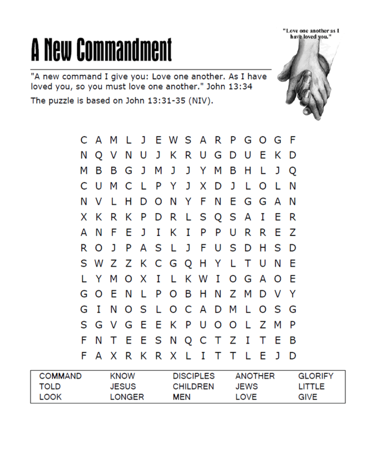## A New Commandment

"A new command I give you: Love one another. As I have loved you, so you must love one another." John 13:34

The puzzle is based on John 13:31-35 (NIV).



| <b>COMMAND</b> | KNOW   | <b>DISCIPLES</b> | <b>ANOTHER</b> | <b>GLORIFY</b> |
|----------------|--------|------------------|----------------|----------------|
| TOLD           | JESUS  | <b>CHILDREN</b>  | <b>JEWS</b>    | LITTLE         |
| LOOK           | LONGER | <b>MEN</b>       | LOVE           | GIVE           |

"Love one another as I have loved you."